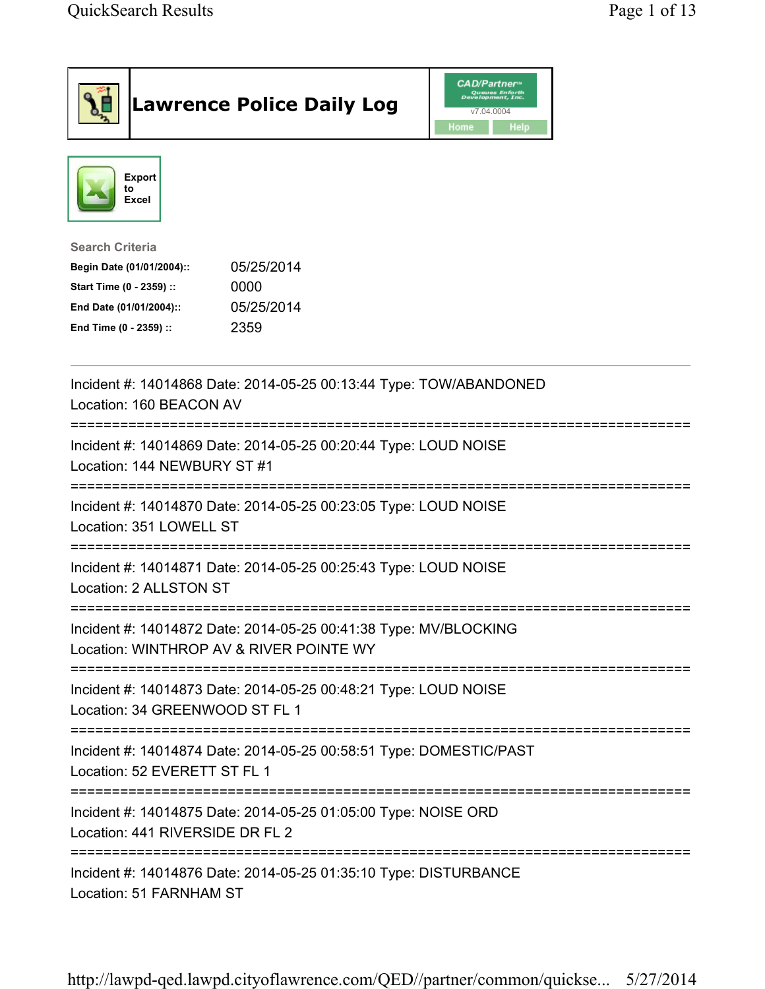|                                                                                                                                      | <b>Lawrence Police Daily Log</b>                                   | <b>CAD/Partner</b> "<br>Queues Enforth<br>Development, Inc.<br>v7.04.0004<br>Home<br><b>Help</b> |  |
|--------------------------------------------------------------------------------------------------------------------------------------|--------------------------------------------------------------------|--------------------------------------------------------------------------------------------------|--|
| <b>Export</b><br>to<br><b>Excel</b>                                                                                                  |                                                                    |                                                                                                  |  |
| <b>Search Criteria</b><br>Begin Date (01/01/2004)::<br>Start Time (0 - 2359) ::<br>End Date (01/01/2004)::<br>End Time (0 - 2359) :: | 05/25/2014<br>0000<br>05/25/2014<br>2359                           |                                                                                                  |  |
| Location: 160 BEACON AV                                                                                                              | Incident #: 14014868 Date: 2014-05-25 00:13:44 Type: TOW/ABANDONED |                                                                                                  |  |
| Location: 144 NEWBURY ST #1                                                                                                          | Incident #: 14014869 Date: 2014-05-25 00:20:44 Type: LOUD NOISE    |                                                                                                  |  |
| Location: 351 LOWELL ST                                                                                                              | Incident #: 14014870 Date: 2014-05-25 00:23:05 Type: LOUD NOISE    |                                                                                                  |  |
| Location: 2 ALLSTON ST                                                                                                               | Incident #: 14014871 Date: 2014-05-25 00:25:43 Type: LOUD NOISE    |                                                                                                  |  |
| Location: WINTHROP AV & RIVER POINTE WY                                                                                              | Incident #: 14014872 Date: 2014-05-25 00:41:38 Type: MV/BLOCKING   |                                                                                                  |  |
| Location: 34 GREENWOOD ST FL 1                                                                                                       | Incident #: 14014873 Date: 2014-05-25 00:48:21 Type: LOUD NOISE    |                                                                                                  |  |
| Location: 52 EVERETT ST FL 1                                                                                                         | Incident #: 14014874 Date: 2014-05-25 00:58:51 Type: DOMESTIC/PAST |                                                                                                  |  |
| Location: 441 RIVERSIDE DR FL 2                                                                                                      | Incident #: 14014875 Date: 2014-05-25 01:05:00 Type: NOISE ORD     |                                                                                                  |  |
| -------------------------<br>Location: 51 FARNHAM ST                                                                                 | Incident #: 14014876 Date: 2014-05-25 01:35:10 Type: DISTURBANCE   |                                                                                                  |  |

http://lawpd-qed.lawpd.cityoflawrence.com/QED//partner/common/quickse... 5/27/2014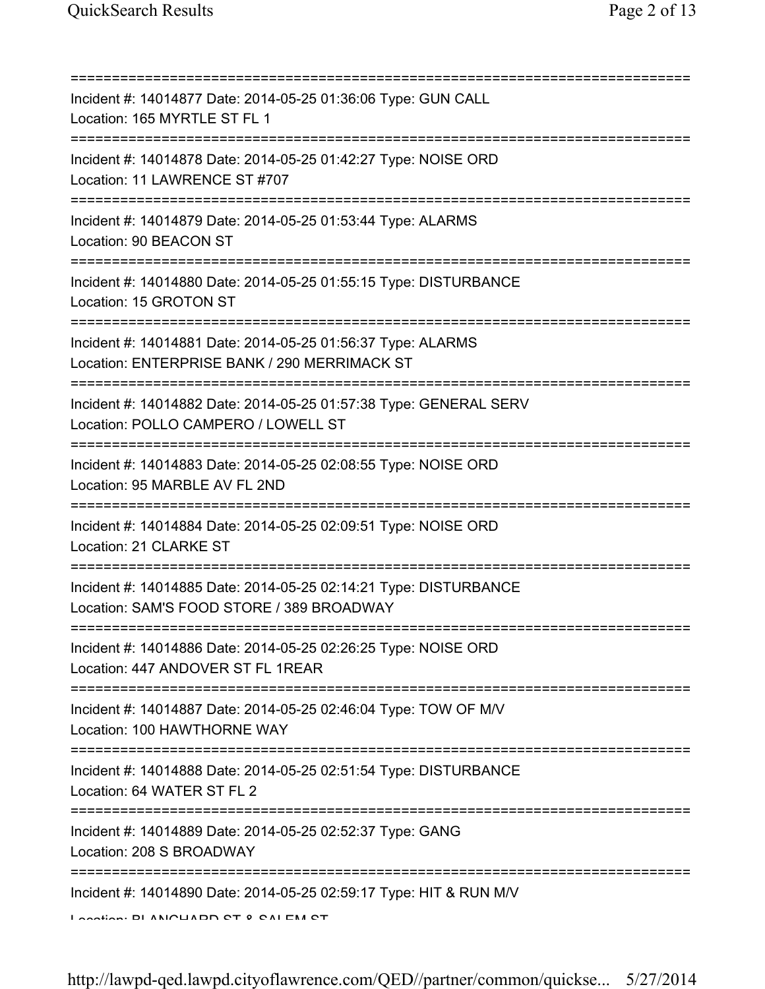| ==========================                                                                                                                      |
|-------------------------------------------------------------------------------------------------------------------------------------------------|
| Incident #: 14014877 Date: 2014-05-25 01:36:06 Type: GUN CALL<br>Location: 165 MYRTLE ST FL 1                                                   |
| Incident #: 14014878 Date: 2014-05-25 01:42:27 Type: NOISE ORD<br>Location: 11 LAWRENCE ST #707                                                 |
| Incident #: 14014879 Date: 2014-05-25 01:53:44 Type: ALARMS<br>Location: 90 BEACON ST                                                           |
| Incident #: 14014880 Date: 2014-05-25 01:55:15 Type: DISTURBANCE<br>Location: 15 GROTON ST<br>=================================                 |
| Incident #: 14014881 Date: 2014-05-25 01:56:37 Type: ALARMS<br>Location: ENTERPRISE BANK / 290 MERRIMACK ST<br>================================ |
| Incident #: 14014882 Date: 2014-05-25 01:57:38 Type: GENERAL SERV<br>Location: POLLO CAMPERO / LOWELL ST                                        |
| Incident #: 14014883 Date: 2014-05-25 02:08:55 Type: NOISE ORD<br>Location: 95 MARBLE AV FL 2ND                                                 |
| Incident #: 14014884 Date: 2014-05-25 02:09:51 Type: NOISE ORD<br>Location: 21 CLARKE ST                                                        |
| Incident #: 14014885 Date: 2014-05-25 02:14:21 Type: DISTURBANCE<br>Location: SAM'S FOOD STORE / 389 BROADWAY                                   |
| Incident #: 14014886 Date: 2014-05-25 02:26:25 Type: NOISE ORD<br>Location: 447 ANDOVER ST FL 1REAR                                             |
| ;================================<br>Incident #: 14014887 Date: 2014-05-25 02:46:04 Type: TOW OF M/V<br>Location: 100 HAWTHORNE WAY             |
| Incident #: 14014888 Date: 2014-05-25 02:51:54 Type: DISTURBANCE<br>Location: 64 WATER ST FL 2                                                  |
| Incident #: 14014889 Date: 2014-05-25 02:52:37 Type: GANG<br>Location: 208 S BROADWAY                                                           |
| Incident #: 14014890 Date: 2014-05-25 02:59:17 Type: HIT & RUN M/V<br>Lootion. DI ANIOLIADO OT 0 OAI EM OT                                      |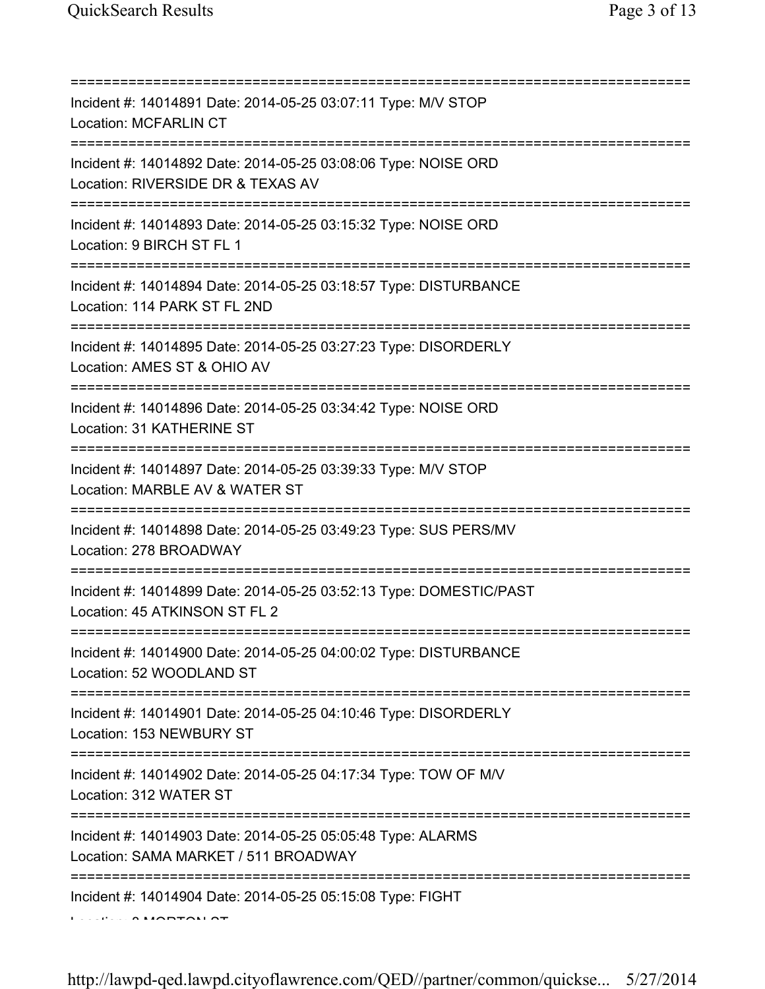| Incident #: 14014891 Date: 2014-05-25 03:07:11 Type: M/V STOP<br><b>Location: MCFARLIN CT</b>                                           |
|-----------------------------------------------------------------------------------------------------------------------------------------|
| Incident #: 14014892 Date: 2014-05-25 03:08:06 Type: NOISE ORD<br>Location: RIVERSIDE DR & TEXAS AV<br>;=============================== |
| Incident #: 14014893 Date: 2014-05-25 03:15:32 Type: NOISE ORD<br>Location: 9 BIRCH ST FL 1                                             |
| Incident #: 14014894 Date: 2014-05-25 03:18:57 Type: DISTURBANCE<br>Location: 114 PARK ST FL 2ND                                        |
| Incident #: 14014895 Date: 2014-05-25 03:27:23 Type: DISORDERLY<br>Location: AMES ST & OHIO AV                                          |
| Incident #: 14014896 Date: 2014-05-25 03:34:42 Type: NOISE ORD<br>Location: 31 KATHERINE ST                                             |
| Incident #: 14014897 Date: 2014-05-25 03:39:33 Type: M/V STOP<br>Location: MARBLE AV & WATER ST                                         |
| Incident #: 14014898 Date: 2014-05-25 03:49:23 Type: SUS PERS/MV<br>Location: 278 BROADWAY                                              |
| Incident #: 14014899 Date: 2014-05-25 03:52:13 Type: DOMESTIC/PAST<br>Location: 45 ATKINSON ST FL 2                                     |
| Incident #: 14014900 Date: 2014-05-25 04:00:02 Type: DISTURBANCE<br>Location: 52 WOODLAND ST                                            |
| ------------------------------------<br>Incident #: 14014901 Date: 2014-05-25 04:10:46 Type: DISORDERLY<br>Location: 153 NEWBURY ST     |
| :===============================<br>Incident #: 14014902 Date: 2014-05-25 04:17:34 Type: TOW OF M/V<br>Location: 312 WATER ST           |
| Incident #: 14014903 Date: 2014-05-25 05:05:48 Type: ALARMS<br>Location: SAMA MARKET / 511 BROADWAY                                     |
| Incident #: 14014904 Date: 2014-05-25 05:15:08 Type: FIGHT                                                                              |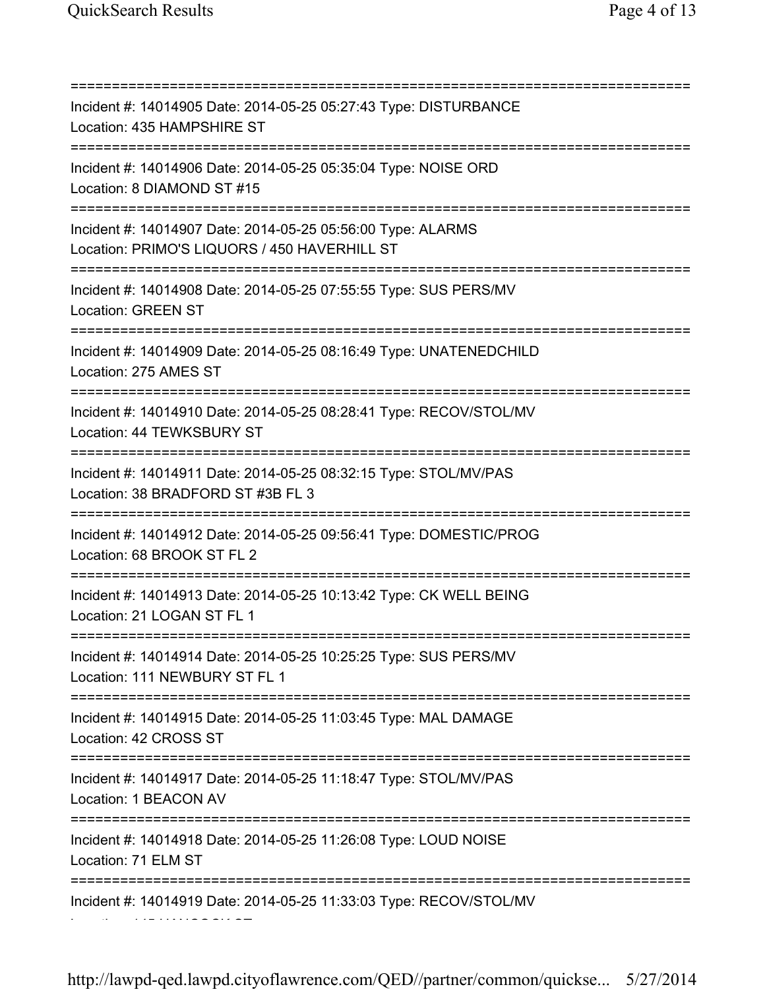=========================================================================== Incident #: 14014905 Date: 2014-05-25 05:27:43 Type: DISTURBANCE Location: 435 HAMPSHIRE ST =========================================================================== Incident #: 14014906 Date: 2014-05-25 05:35:04 Type: NOISE ORD Location: 8 DIAMOND ST #15 =========================================================================== Incident #: 14014907 Date: 2014-05-25 05:56:00 Type: ALARMS Location: PRIMO'S LIQUORS / 450 HAVERHILL ST =========================================================================== Incident #: 14014908 Date: 2014-05-25 07:55:55 Type: SUS PERS/MV Location: GREEN ST =========================================================================== Incident #: 14014909 Date: 2014-05-25 08:16:49 Type: UNATENEDCHILD Location: 275 AMES ST =========================================================================== Incident #: 14014910 Date: 2014-05-25 08:28:41 Type: RECOV/STOL/MV Location: 44 TEWKSBURY ST =========================================================================== Incident #: 14014911 Date: 2014-05-25 08:32:15 Type: STOL/MV/PAS Location: 38 BRADFORD ST #3B FL 3 =========================================================================== Incident #: 14014912 Date: 2014-05-25 09:56:41 Type: DOMESTIC/PROG Location: 68 BROOK ST FL 2 =========================================================================== Incident #: 14014913 Date: 2014-05-25 10:13:42 Type: CK WELL BEING Location: 21 LOGAN ST FL 1 =========================================================================== Incident #: 14014914 Date: 2014-05-25 10:25:25 Type: SUS PERS/MV Location: 111 NEWBURY ST FL 1 =========================================================================== Incident #: 14014915 Date: 2014-05-25 11:03:45 Type: MAL DAMAGE Location: 42 CROSS ST =========================================================================== Incident #: 14014917 Date: 2014-05-25 11:18:47 Type: STOL/MV/PAS Location: 1 BEACON AV =========================================================================== Incident #: 14014918 Date: 2014-05-25 11:26:08 Type: LOUD NOISE Location: 71 ELM ST =========================================================================== Incident #: 14014919 Date: 2014-05-25 11:33:03 Type: RECOV/STOL/MV Location: 145 HANCOCK ST

http://lawpd-qed.lawpd.cityoflawrence.com/QED//partner/common/quickse... 5/27/2014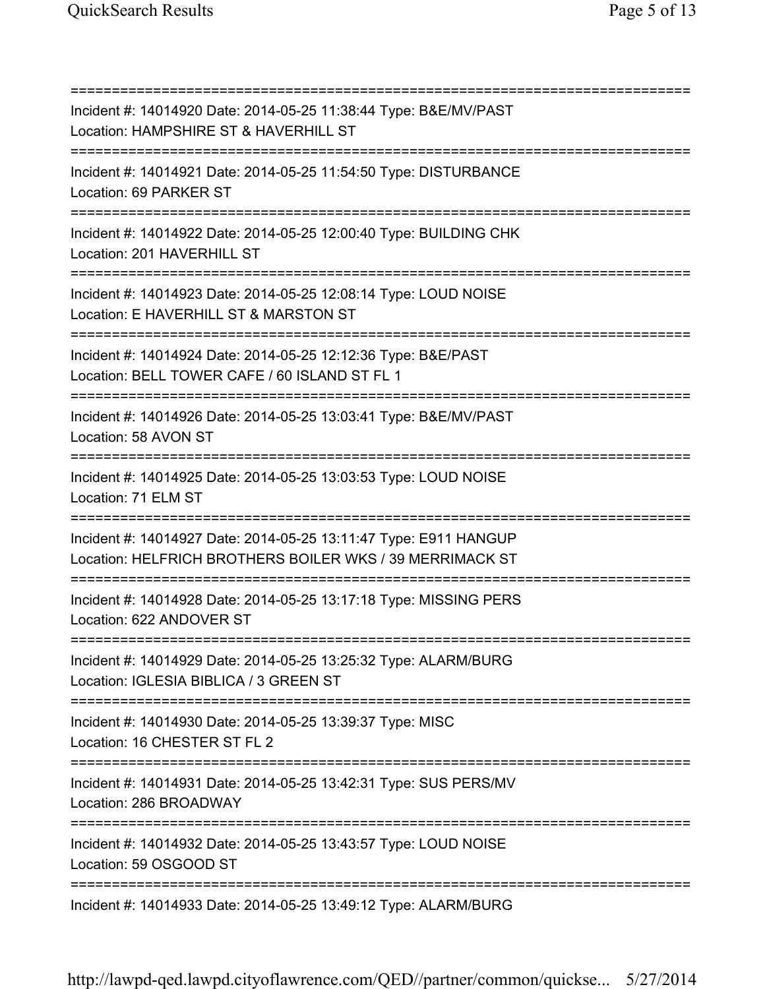=========================================================================== Incident #: 14014920 Date: 2014-05-25 11:38:44 Type: B&E/MV/PAST Location: HAMPSHIRE ST & HAVERHILL ST =========================================================================== Incident #: 14014921 Date: 2014-05-25 11:54:50 Type: DISTURBANCE Location: 69 PARKER ST =========================================================================== Incident #: 14014922 Date: 2014-05-25 12:00:40 Type: BUILDING CHK Location: 201 HAVERHILL ST =========================================================================== Incident #: 14014923 Date: 2014-05-25 12:08:14 Type: LOUD NOISE Location: E HAVERHILL ST & MARSTON ST =========================================================================== Incident #: 14014924 Date: 2014-05-25 12:12:36 Type: B&E/PAST Location: BELL TOWER CAFE / 60 ISLAND ST FL 1 =========================================================================== Incident #: 14014926 Date: 2014-05-25 13:03:41 Type: B&E/MV/PAST Location: 58 AVON ST =========================================================================== Incident #: 14014925 Date: 2014-05-25 13:03:53 Type: LOUD NOISE Location: 71 ELM ST =========================================================================== Incident #: 14014927 Date: 2014-05-25 13:11:47 Type: E911 HANGUP Location: HELFRICH BROTHERS BOILER WKS / 39 MERRIMACK ST =========================================================================== Incident #: 14014928 Date: 2014-05-25 13:17:18 Type: MISSING PERS Location: 622 ANDOVER ST =========================================================================== Incident #: 14014929 Date: 2014-05-25 13:25:32 Type: ALARM/BURG Location: IGLESIA BIBLICA / 3 GREEN ST =========================================================================== Incident #: 14014930 Date: 2014-05-25 13:39:37 Type: MISC Location: 16 CHESTER ST FL 2 =========================================================================== Incident #: 14014931 Date: 2014-05-25 13:42:31 Type: SUS PERS/MV Location: 286 BROADWAY =========================================================================== Incident #: 14014932 Date: 2014-05-25 13:43:57 Type: LOUD NOISE Location: 59 OSGOOD ST =========================================================================== Incident #: 14014933 Date: 2014-05-25 13:49:12 Type: ALARM/BURG

http://lawpd-qed.lawpd.cityoflawrence.com/QED//partner/common/quickse... 5/27/2014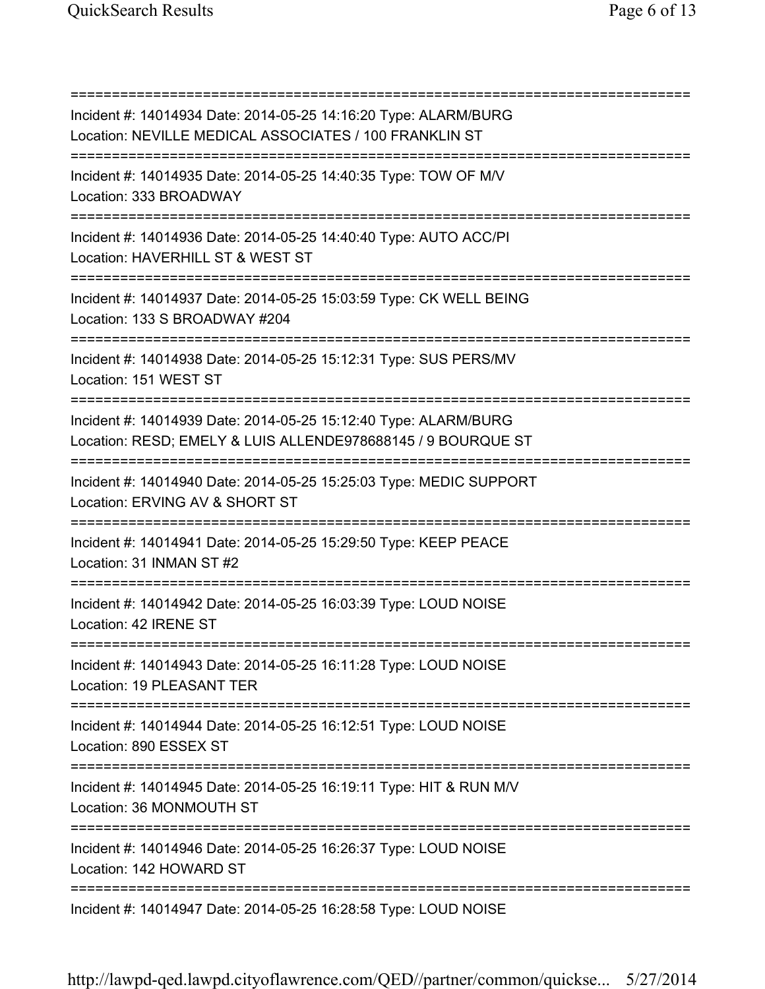=========================================================================== Incident #: 14014934 Date: 2014-05-25 14:16:20 Type: ALARM/BURG Location: NEVILLE MEDICAL ASSOCIATES / 100 FRANKLIN ST =========================================================================== Incident #: 14014935 Date: 2014-05-25 14:40:35 Type: TOW OF M/V Location: 333 BROADWAY =========================================================================== Incident #: 14014936 Date: 2014-05-25 14:40:40 Type: AUTO ACC/PI Location: HAVERHILL ST & WEST ST =========================================================================== Incident #: 14014937 Date: 2014-05-25 15:03:59 Type: CK WELL BEING Location: 133 S BROADWAY #204 =========================================================================== Incident #: 14014938 Date: 2014-05-25 15:12:31 Type: SUS PERS/MV Location: 151 WEST ST =========================================================================== Incident #: 14014939 Date: 2014-05-25 15:12:40 Type: ALARM/BURG Location: RESD; EMELY & LUIS ALLENDE978688145 / 9 BOURQUE ST =========================================================================== Incident #: 14014940 Date: 2014-05-25 15:25:03 Type: MEDIC SUPPORT Location: ERVING AV & SHORT ST =========================================================================== Incident #: 14014941 Date: 2014-05-25 15:29:50 Type: KEEP PEACE Location: 31 INMAN ST #2 =========================================================================== Incident #: 14014942 Date: 2014-05-25 16:03:39 Type: LOUD NOISE Location: 42 IRENE ST =========================================================================== Incident #: 14014943 Date: 2014-05-25 16:11:28 Type: LOUD NOISE Location: 19 PLEASANT TER =========================================================================== Incident #: 14014944 Date: 2014-05-25 16:12:51 Type: LOUD NOISE Location: 890 ESSEX ST =========================================================================== Incident #: 14014945 Date: 2014-05-25 16:19:11 Type: HIT & RUN M/V Location: 36 MONMOUTH ST =========================================================================== Incident #: 14014946 Date: 2014-05-25 16:26:37 Type: LOUD NOISE Location: 142 HOWARD ST =========================================================================== Incident #: 14014947 Date: 2014-05-25 16:28:58 Type: LOUD NOISE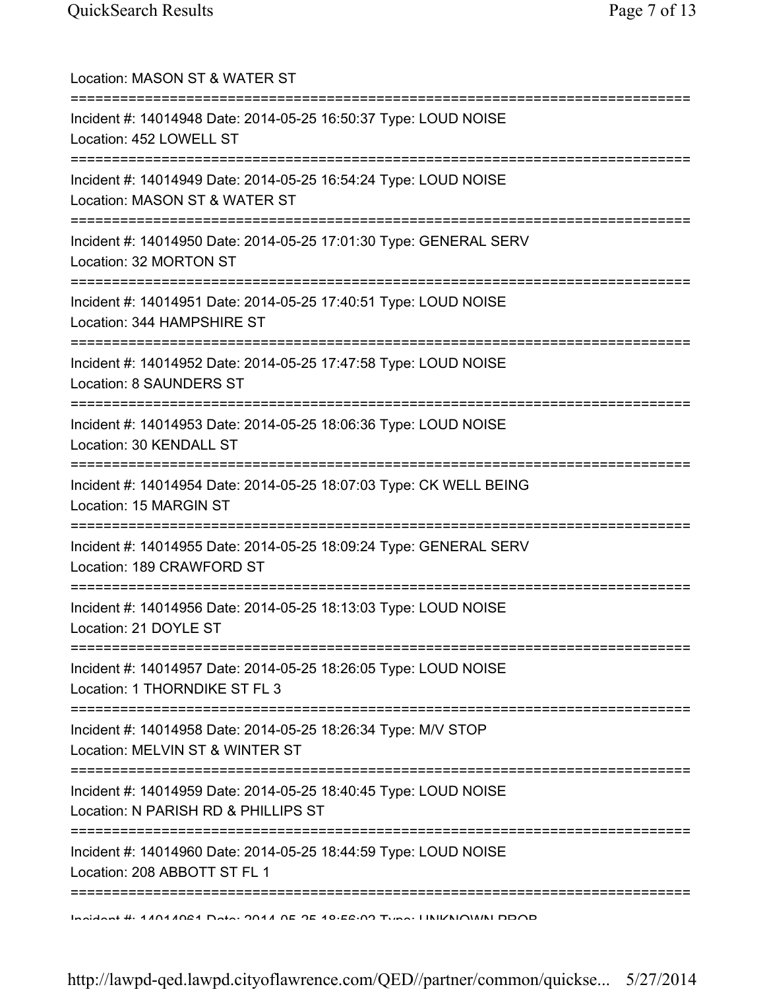| Location: MASON ST & WATER ST                                                                                                  |
|--------------------------------------------------------------------------------------------------------------------------------|
| Incident #: 14014948 Date: 2014-05-25 16:50:37 Type: LOUD NOISE<br>Location: 452 LOWELL ST                                     |
| Incident #: 14014949 Date: 2014-05-25 16:54:24 Type: LOUD NOISE<br>Location: MASON ST & WATER ST<br>:========================= |
| Incident #: 14014950 Date: 2014-05-25 17:01:30 Type: GENERAL SERV<br>Location: 32 MORTON ST                                    |
| Incident #: 14014951 Date: 2014-05-25 17:40:51 Type: LOUD NOISE<br>Location: 344 HAMPSHIRE ST                                  |
| Incident #: 14014952 Date: 2014-05-25 17:47:58 Type: LOUD NOISE<br>Location: 8 SAUNDERS ST                                     |
| Incident #: 14014953 Date: 2014-05-25 18:06:36 Type: LOUD NOISE<br>Location: 30 KENDALL ST                                     |
| ,,,,,,,,,,,,,,,,,,,,<br>Incident #: 14014954 Date: 2014-05-25 18:07:03 Type: CK WELL BEING<br>Location: 15 MARGIN ST           |
| Incident #: 14014955 Date: 2014-05-25 18:09:24 Type: GENERAL SERV<br>Location: 189 CRAWFORD ST                                 |
| Incident #: 14014956 Date: 2014-05-25 18:13:03 Type: LOUD NOISE<br>Location: 21 DOYLE ST                                       |
| Incident #: 14014957 Date: 2014-05-25 18:26:05 Type: LOUD NOISE<br>Location: 1 THORNDIKE ST FL 3                               |
| Incident #: 14014958 Date: 2014-05-25 18:26:34 Type: M/V STOP<br>Location: MELVIN ST & WINTER ST                               |
| Incident #: 14014959 Date: 2014-05-25 18:40:45 Type: LOUD NOISE<br>Location: N PARISH RD & PHILLIPS ST                         |
| Incident #: 14014960 Date: 2014-05-25 18:44:59 Type: LOUD NOISE<br>Location: 208 ABBOTT ST FL 1                                |
| $Jnab$ and $H_1$ 4 ANA ANCA Data: $204A$ NE AC 40.50.00 Tune: I INIZNIOVANI DDOD                                               |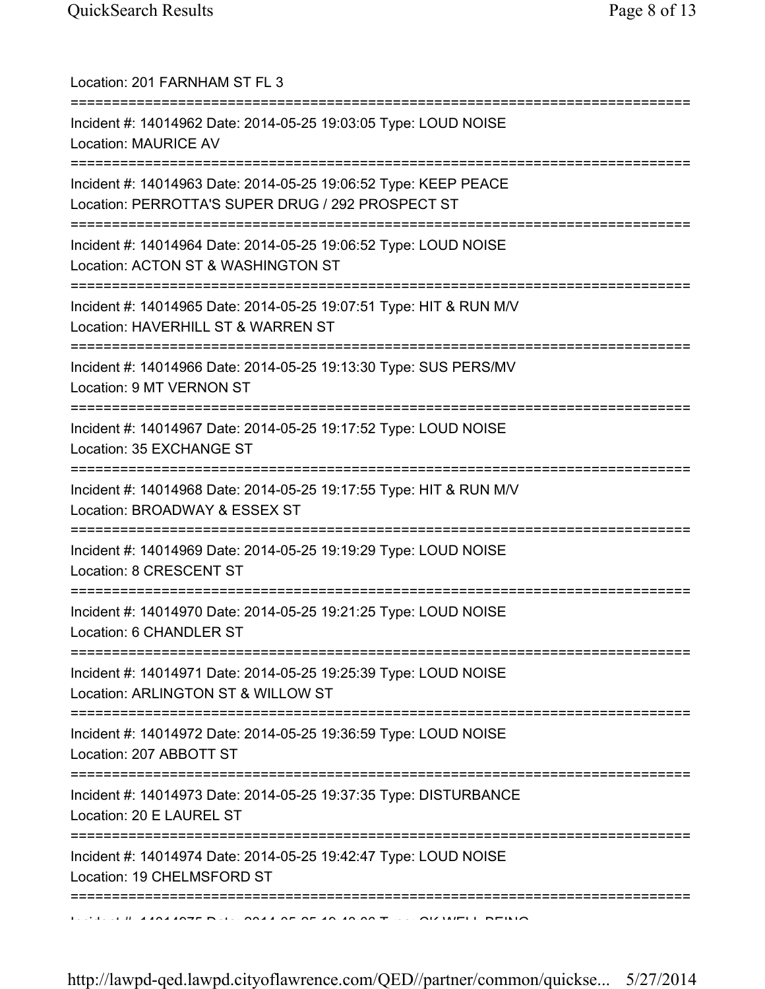| Location: 201 FARNHAM ST FL 3                                                                                                     |
|-----------------------------------------------------------------------------------------------------------------------------------|
| Incident #: 14014962 Date: 2014-05-25 19:03:05 Type: LOUD NOISE<br><b>Location: MAURICE AV</b>                                    |
| Incident #: 14014963 Date: 2014-05-25 19:06:52 Type: KEEP PEACE<br>Location: PERROTTA'S SUPER DRUG / 292 PROSPECT ST              |
| Incident #: 14014964 Date: 2014-05-25 19:06:52 Type: LOUD NOISE<br>Location: ACTON ST & WASHINGTON ST<br>.======================= |
| Incident #: 14014965 Date: 2014-05-25 19:07:51 Type: HIT & RUN M/V<br>Location: HAVERHILL ST & WARREN ST                          |
| Incident #: 14014966 Date: 2014-05-25 19:13:30 Type: SUS PERS/MV<br>Location: 9 MT VERNON ST                                      |
| Incident #: 14014967 Date: 2014-05-25 19:17:52 Type: LOUD NOISE<br>Location: 35 EXCHANGE ST                                       |
| Incident #: 14014968 Date: 2014-05-25 19:17:55 Type: HIT & RUN M/V<br>Location: BROADWAY & ESSEX ST                               |
| Incident #: 14014969 Date: 2014-05-25 19:19:29 Type: LOUD NOISE<br>Location: 8 CRESCENT ST                                        |
| Incident #: 14014970 Date: 2014-05-25 19:21:25 Type: LOUD NOISE<br>Location: 6 CHANDLER ST                                        |
| Incident #: 14014971 Date: 2014-05-25 19:25:39 Type: LOUD NOISE<br>Location: ARLINGTON ST & WILLOW ST                             |
| Incident #: 14014972 Date: 2014-05-25 19:36:59 Type: LOUD NOISE<br>Location: 207 ABBOTT ST                                        |
| Incident #: 14014973 Date: 2014-05-25 19:37:35 Type: DISTURBANCE<br>Location: 20 E LAUREL ST                                      |
| Incident #: 14014974 Date: 2014-05-25 19:42:47 Type: LOUD NOISE<br>Location: 19 CHELMSFORD ST                                     |
| LESSE LE BIALANTE DEL COLLARE OF 10 10 00 T. L. OLIMPLE DEBIO                                                                     |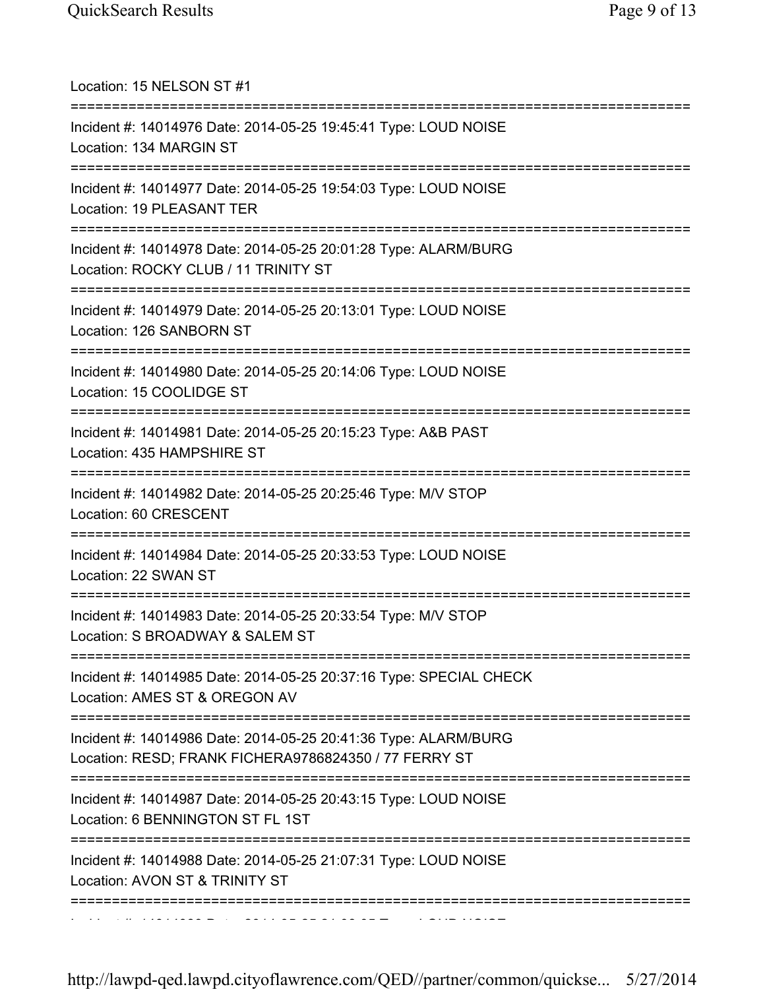| Location: 15 NELSON ST #1                                                                                                      |
|--------------------------------------------------------------------------------------------------------------------------------|
| Incident #: 14014976 Date: 2014-05-25 19:45:41 Type: LOUD NOISE<br>Location: 134 MARGIN ST                                     |
| Incident #: 14014977 Date: 2014-05-25 19:54:03 Type: LOUD NOISE<br>Location: 19 PLEASANT TER                                   |
| Incident #: 14014978 Date: 2014-05-25 20:01:28 Type: ALARM/BURG<br>Location: ROCKY CLUB / 11 TRINITY ST                        |
| Incident #: 14014979 Date: 2014-05-25 20:13:01 Type: LOUD NOISE<br>Location: 126 SANBORN ST                                    |
| Incident #: 14014980 Date: 2014-05-25 20:14:06 Type: LOUD NOISE<br>Location: 15 COOLIDGE ST                                    |
| Incident #: 14014981 Date: 2014-05-25 20:15:23 Type: A&B PAST<br>Location: 435 HAMPSHIRE ST                                    |
| =====================<br>Incident #: 14014982 Date: 2014-05-25 20:25:46 Type: M/V STOP<br>Location: 60 CRESCENT                |
| Incident #: 14014984 Date: 2014-05-25 20:33:53 Type: LOUD NOISE<br>Location: 22 SWAN ST                                        |
| Incident #: 14014983 Date: 2014-05-25 20:33:54 Type: M/V STOP<br>Location: S BROADWAY & SALEM ST                               |
| Incident #: 14014985 Date: 2014-05-25 20:37:16 Type: SPECIAL CHECK<br>Location: AMES ST & OREGON AV                            |
| Incident #: 14014986 Date: 2014-05-25 20:41:36 Type: ALARM/BURG<br>Location: RESD; FRANK FICHERA9786824350 / 77 FERRY ST       |
| Incident #: 14014987 Date: 2014-05-25 20:43:15 Type: LOUD NOISE<br>Location: 6 BENNINGTON ST FL 1ST                            |
| =========================<br>Incident #: 14014988 Date: 2014-05-25 21:07:31 Type: LOUD NOISE<br>Location: AVON ST & TRINITY ST |
|                                                                                                                                |

Incident #: 14014989 Date: 2014 05 25 21:08:05 Type: LOUD NOISE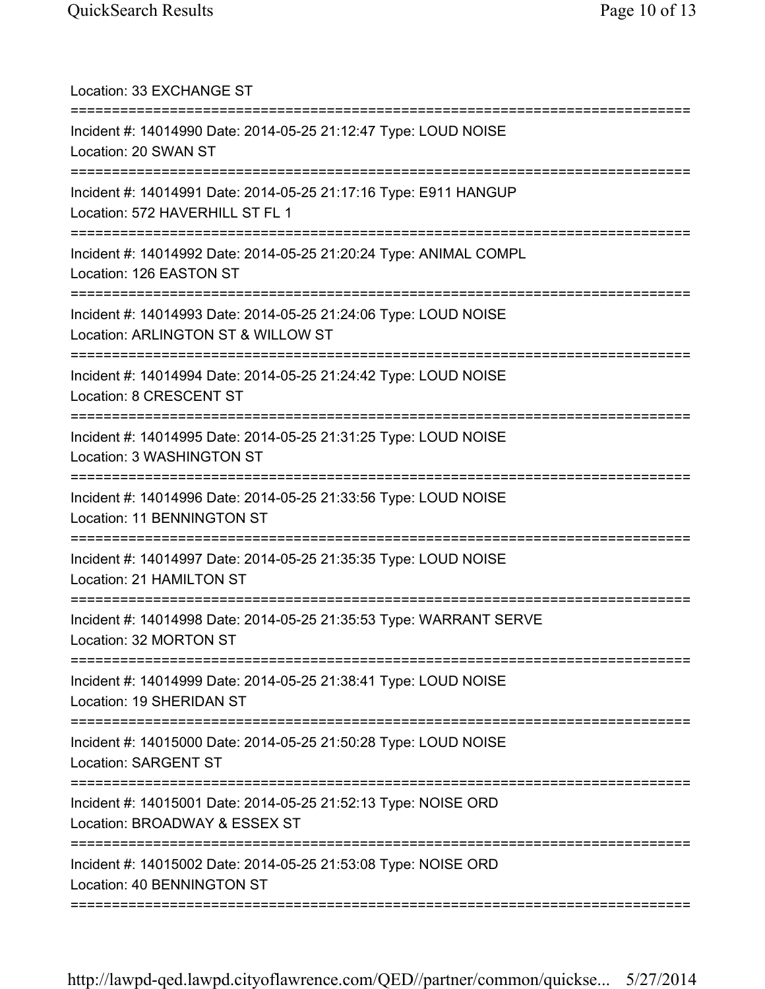| Location: 33 EXCHANGE ST                                                                                                              |
|---------------------------------------------------------------------------------------------------------------------------------------|
| Incident #: 14014990 Date: 2014-05-25 21:12:47 Type: LOUD NOISE<br>Location: 20 SWAN ST                                               |
| Incident #: 14014991 Date: 2014-05-25 21:17:16 Type: E911 HANGUP<br>Location: 572 HAVERHILL ST FL 1                                   |
| Incident #: 14014992 Date: 2014-05-25 21:20:24 Type: ANIMAL COMPL<br>Location: 126 EASTON ST                                          |
| Incident #: 14014993 Date: 2014-05-25 21:24:06 Type: LOUD NOISE<br>Location: ARLINGTON ST & WILLOW ST                                 |
| Incident #: 14014994 Date: 2014-05-25 21:24:42 Type: LOUD NOISE<br>Location: 8 CRESCENT ST                                            |
| Incident #: 14014995 Date: 2014-05-25 21:31:25 Type: LOUD NOISE<br>Location: 3 WASHINGTON ST                                          |
| ====================================<br>Incident #: 14014996 Date: 2014-05-25 21:33:56 Type: LOUD NOISE<br>Location: 11 BENNINGTON ST |
| Incident #: 14014997 Date: 2014-05-25 21:35:35 Type: LOUD NOISE<br>Location: 21 HAMILTON ST                                           |
| Incident #: 14014998 Date: 2014-05-25 21:35:53 Type: WARRANT SERVE<br>Location: 32 MORTON ST                                          |
| Incident #: 14014999 Date: 2014-05-25 21:38:41 Type: LOUD NOISE<br>Location: 19 SHERIDAN ST                                           |
| Incident #: 14015000 Date: 2014-05-25 21:50:28 Type: LOUD NOISE<br>Location: SARGENT ST                                               |
| Incident #: 14015001 Date: 2014-05-25 21:52:13 Type: NOISE ORD<br>Location: BROADWAY & ESSEX ST                                       |
| Incident #: 14015002 Date: 2014-05-25 21:53:08 Type: NOISE ORD<br>Location: 40 BENNINGTON ST                                          |
|                                                                                                                                       |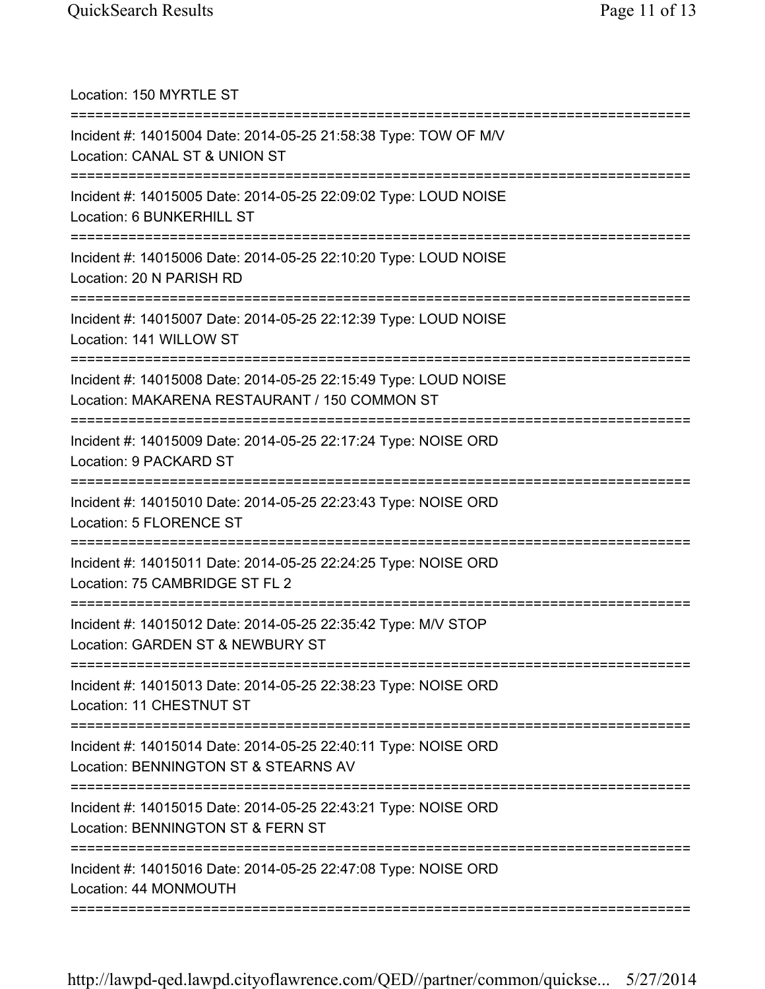| Location: 150 MYRTLE ST                                                                                                              |
|--------------------------------------------------------------------------------------------------------------------------------------|
| Incident #: 14015004 Date: 2014-05-25 21:58:38 Type: TOW OF M/V<br>Location: CANAL ST & UNION ST<br>=====================            |
| Incident #: 14015005 Date: 2014-05-25 22:09:02 Type: LOUD NOISE<br>Location: 6 BUNKERHILL ST                                         |
| Incident #: 14015006 Date: 2014-05-25 22:10:20 Type: LOUD NOISE<br>Location: 20 N PARISH RD<br>===================================== |
| Incident #: 14015007 Date: 2014-05-25 22:12:39 Type: LOUD NOISE<br>Location: 141 WILLOW ST<br>==================================     |
| Incident #: 14015008 Date: 2014-05-25 22:15:49 Type: LOUD NOISE<br>Location: MAKARENA RESTAURANT / 150 COMMON ST                     |
| Incident #: 14015009 Date: 2014-05-25 22:17:24 Type: NOISE ORD<br>Location: 9 PACKARD ST                                             |
| Incident #: 14015010 Date: 2014-05-25 22:23:43 Type: NOISE ORD<br>Location: 5 FLORENCE ST                                            |
| ===============================<br>Incident #: 14015011 Date: 2014-05-25 22:24:25 Type: NOISE ORD<br>Location: 75 CAMBRIDGE ST FL 2  |
| Incident #: 14015012 Date: 2014-05-25 22:35:42 Type: M/V STOP<br>Location: GARDEN ST & NEWBURY ST                                    |
| ======================================<br>Incident #: 14015013 Date: 2014-05-25 22:38:23 Type: NOISE ORD<br>Location: 11 CHESTNUT ST |
| Incident #: 14015014 Date: 2014-05-25 22:40:11 Type: NOISE ORD<br>Location: BENNINGTON ST & STEARNS AV                               |
| Incident #: 14015015 Date: 2014-05-25 22:43:21 Type: NOISE ORD<br>Location: BENNINGTON ST & FERN ST                                  |
| :=============<br>Incident #: 14015016 Date: 2014-05-25 22:47:08 Type: NOISE ORD<br>Location: 44 MONMOUTH                            |
|                                                                                                                                      |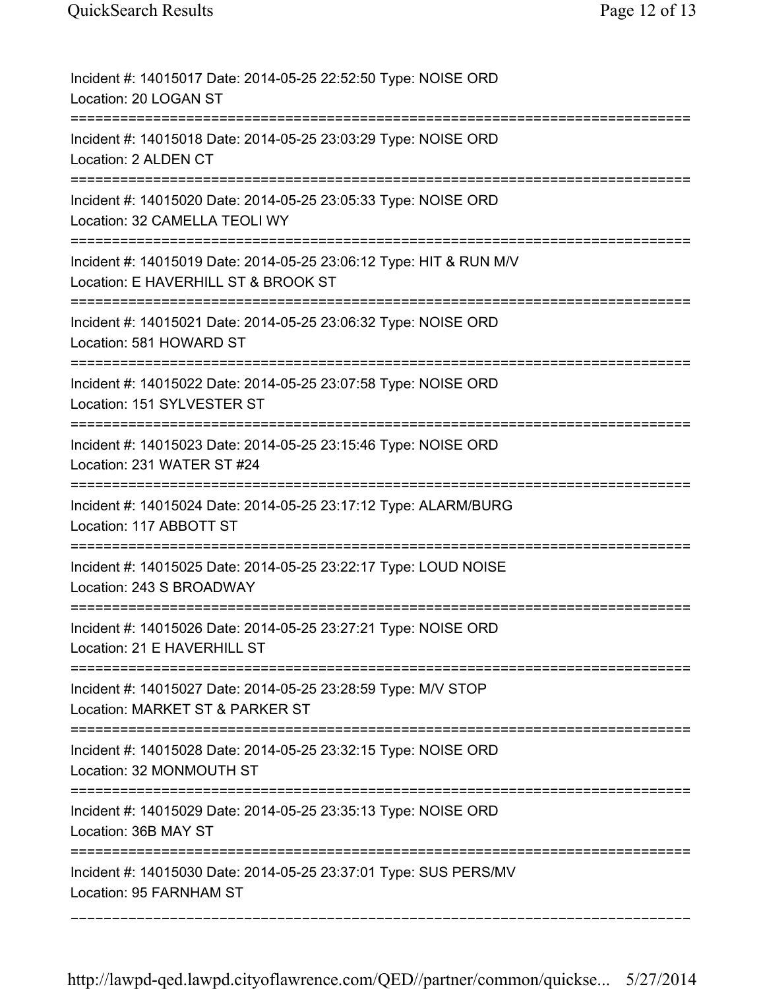| Incident #: 14015017 Date: 2014-05-25 22:52:50 Type: NOISE ORD<br>Location: 20 LOGAN ST                                                 |
|-----------------------------------------------------------------------------------------------------------------------------------------|
| Incident #: 14015018 Date: 2014-05-25 23:03:29 Type: NOISE ORD<br>Location: 2 ALDEN CT                                                  |
| Incident #: 14015020 Date: 2014-05-25 23:05:33 Type: NOISE ORD<br>Location: 32 CAMELLA TEOLI WY                                         |
| Incident #: 14015019 Date: 2014-05-25 23:06:12 Type: HIT & RUN M/V<br>Location: E HAVERHILL ST & BROOK ST<br>:========================= |
| Incident #: 14015021 Date: 2014-05-25 23:06:32 Type: NOISE ORD<br>Location: 581 HOWARD ST<br>==========================                 |
| Incident #: 14015022 Date: 2014-05-25 23:07:58 Type: NOISE ORD<br>Location: 151 SYLVESTER ST                                            |
| Incident #: 14015023 Date: 2014-05-25 23:15:46 Type: NOISE ORD<br>Location: 231 WATER ST #24                                            |
| Incident #: 14015024 Date: 2014-05-25 23:17:12 Type: ALARM/BURG<br>Location: 117 ABBOTT ST                                              |
| Incident #: 14015025 Date: 2014-05-25 23:22:17 Type: LOUD NOISE<br>Location: 243 S BROADWAY                                             |
| Incident #: 14015026 Date: 2014-05-25 23:27:21 Type: NOISE ORD<br>Location: 21 E HAVERHILL ST                                           |
| Incident #: 14015027 Date: 2014-05-25 23:28:59 Type: M/V STOP<br>Location: MARKET ST & PARKER ST                                        |
| Incident #: 14015028 Date: 2014-05-25 23:32:15 Type: NOISE ORD<br>Location: 32 MONMOUTH ST                                              |
| Incident #: 14015029 Date: 2014-05-25 23:35:13 Type: NOISE ORD<br>Location: 36B MAY ST                                                  |
| Incident #: 14015030 Date: 2014-05-25 23:37:01 Type: SUS PERS/MV<br>Location: 95 FARNHAM ST                                             |

===========================================================================